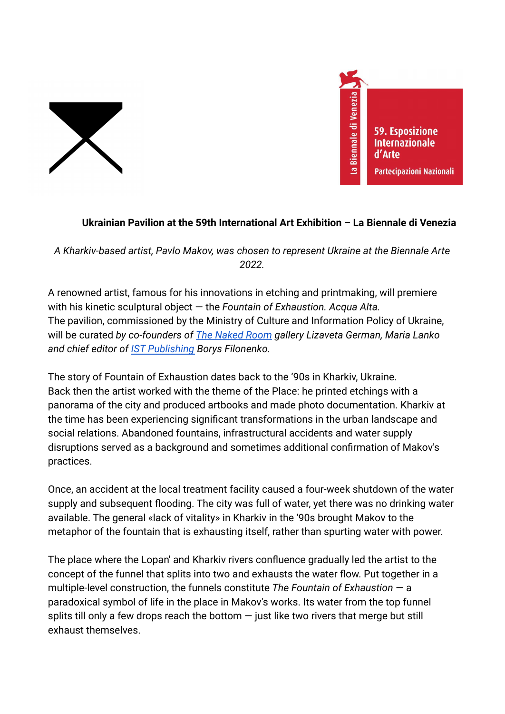



## **Ukrainian Pavilion at the 59th International Art Exhibition – La Biennale di Venezia**

*A Kharkiv-based artist, Pavlo Makov, was chosen to represent Ukraine at the Biennale Arte 2022.*

A renowned artist, famous for his innovations in etching and printmaking, will premiere with his kinetic sculptural object — the *Fountain of Exhaustion. Acqua Alta.* The pavilion, commissioned by the Ministry of Culture and Information Policy of Ukraine, will be curated *by co-founders of [The Naked Room](https://thenakedroom.com/) gallery Lizaveta German, Maria Lanko and chief editor of [IST Publishing](https://istpublishing.org/) Borys Filonenko.*

The story of Fountain of Exhaustion dates back to the '90s in Kharkiv, Ukraine. Back then the artist worked with the theme of the Place: he printed etchings with a panorama of the city and produced artbooks and made photo documentation. Kharkiv at the time has been experiencing significant transformations in the urban landscape and social relations. Abandoned fountains, infrastructural accidents and water supply disruptions served as a background and sometimes additional confirmation of Makov's practices.

Once, an accident at the local treatment facility caused a four-week shutdown of the water supply and subsequent flooding. The city was full of water, yet there was no drinking water available. The general «lack of vitality» in Kharkiv in the '90s brought Makov to the metaphor of the fountain that is exhausting itself, rather than spurting water with power.

The place where the Lopan' and Kharkiv rivers confluence gradually led the artist to the concept of the funnel that splits into two and exhausts the water flow. Put together in a multiple-level construction, the funnels constitute *The Fountain of Exhaustion* — a paradoxical symbol of life in the place in Makov's works. Its water from the top funnel splits till only a few drops reach the bottom  $-$  just like two rivers that merge but still exhaust themselves.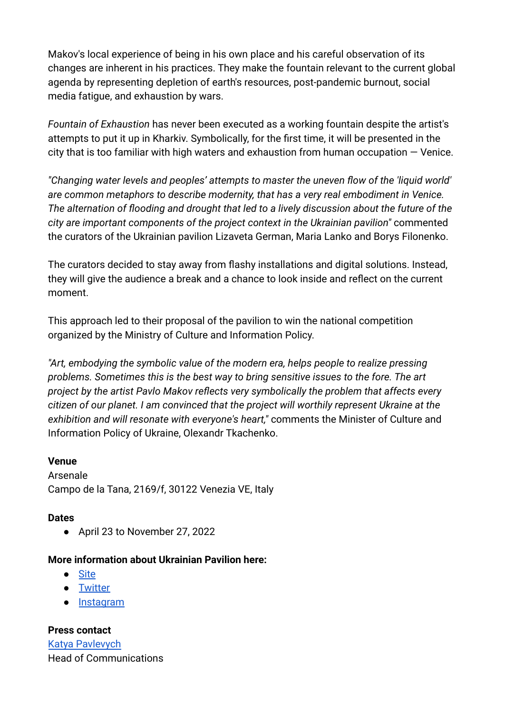Makov's local experience of being in his own place and his careful observation of its changes are inherent in his practices. They make the fountain relevant to the current global agenda by representing depletion of earth's resources, post-pandemic burnout, social media fatigue, and exhaustion by wars.

*Fountain of Exhaustion* has never been executed as a working fountain despite the artist's attempts to put it up in Kharkiv. Symbolically, for the first time, it will be presented in the city that is too familiar with high waters and exhaustion from human occupation  $-$  Venice.

*"Changing water levels and peoples' attempts to master the uneven flow of the 'liquid world' are common metaphors to describe modernity, that has a very real embodiment in Venice. The alternation of flooding and drought that led to a lively discussion about the future of the city are important components of the project context in the Ukrainian pavilion"* commented the curators of the Ukrainian pavilion Lizaveta German, Maria Lanko and Borys Filonenko.

The curators decided to stay away from flashy installations and digital solutions. Instead, they will give the audience a break and a chance to look inside and reflect on the current moment.

This approach led to their proposal of the pavilion to win the national competition organized by the Ministry of Culture and Information Policy.

*"Art, embodying the symbolic value of the modern era, helps people to realize pressing problems. Sometimes this is the best way to bring sensitive issues to the fore. The art project by the artist Pavlo Makov reflects very symbolically the problem that affects every citizen of our planet. I am convinced that the project will worthily represent Ukraine at the exhibition and will resonate with everyone's heart,"* comments the Minister of Culture and Information Policy of Ukraine, Olexandr Tkachenko.

## **Venue**

Arsenale Campo de la Tana, 2169/f, 30122 Venezia VE, Italy

## **Dates**

● April 23 to November 27, 2022

## **More information about Ukrainian Pavilion here:**

- [Site](https://ukrainianpavilion.org/en)
- [Twitter](https://twitter.com/UApavilion)
- [Instagram](https://www.instagram.com/ukrainianpavilioninvenice/)

**Press contact** [Katya Pavlevych](https://twitter.com/Kpavlevych) Head of Communications